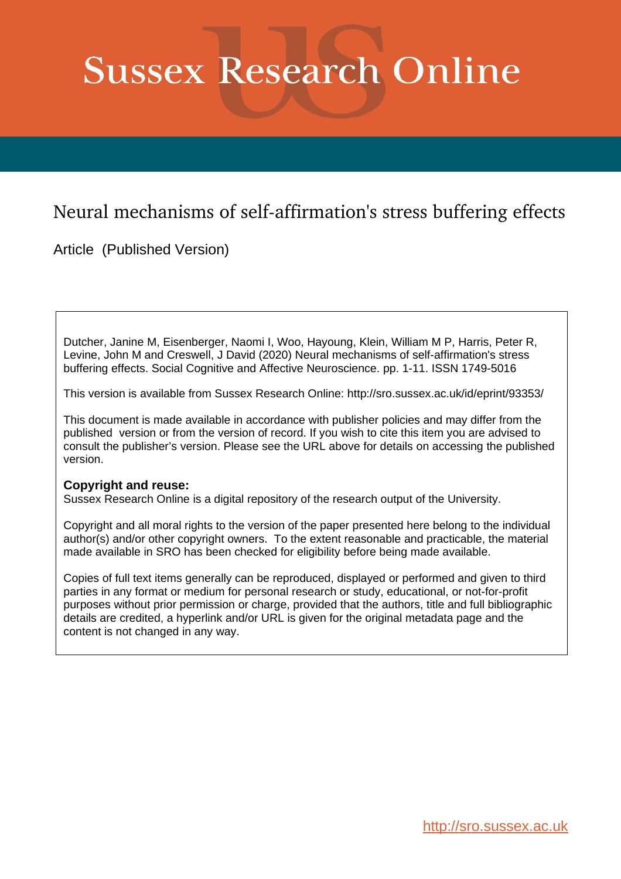# **Sussex Research Online**

# Neural mechanisms of self-affirmation's stress buffering effects

Article (Published Version)

Dutcher, Janine M, Eisenberger, Naomi I, Woo, Hayoung, Klein, William M P, Harris, Peter R, Levine, John M and Creswell, J David (2020) Neural mechanisms of self-affirmation's stress buffering effects. Social Cognitive and Affective Neuroscience. pp. 1-11. ISSN 1749-5016

This version is available from Sussex Research Online: http://sro.sussex.ac.uk/id/eprint/93353/

This document is made available in accordance with publisher policies and may differ from the published version or from the version of record. If you wish to cite this item you are advised to consult the publisher's version. Please see the URL above for details on accessing the published version.

# **Copyright and reuse:**

Sussex Research Online is a digital repository of the research output of the University.

Copyright and all moral rights to the version of the paper presented here belong to the individual author(s) and/or other copyright owners. To the extent reasonable and practicable, the material made available in SRO has been checked for eligibility before being made available.

Copies of full text items generally can be reproduced, displayed or performed and given to third parties in any format or medium for personal research or study, educational, or not-for-profit purposes without prior permission or charge, provided that the authors, title and full bibliographic details are credited, a hyperlink and/or URL is given for the original metadata page and the content is not changed in any way.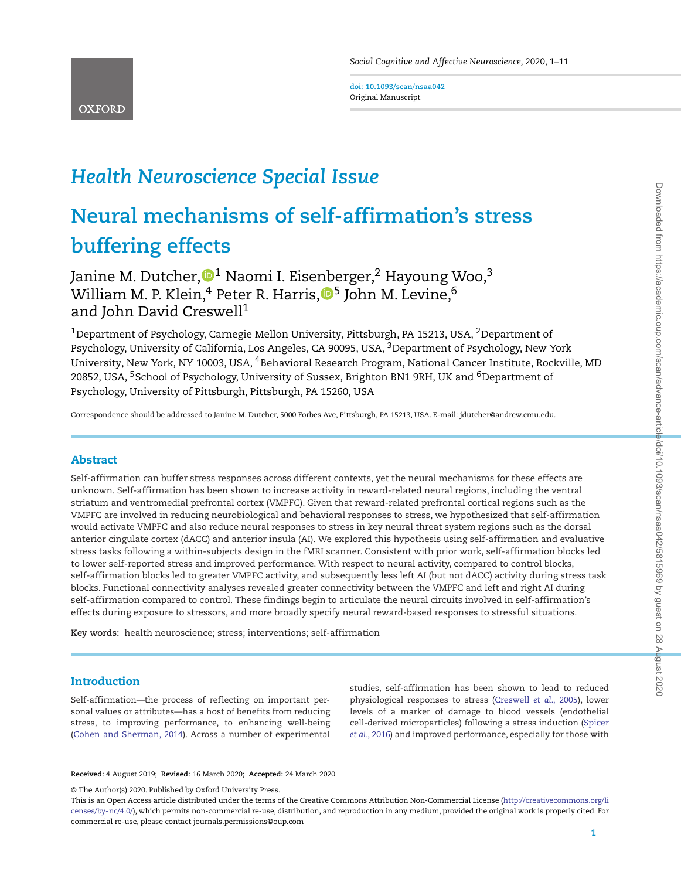**doi: 10.1093/scan/nsaa042** Original Manuscript

# *Health Neuroscience Special Issue*

# **Neural mechanisms of self-affirmation's stress buffering effects**

Janine M. Dutcher[,](http://orcid.org/0000-0002-8678-8585)  $\mathbb{D}^1$  Naomi I. Eisenberger,  $^2$  Hayoung Woo,  $^3$ William M. P. Klein,<sup>4</sup> Peter R. Harris,  $\mathbb{D}^5$  $\mathbb{D}^5$  John M. Levine, <sup>6</sup> and John David Creswell<sup>1</sup>

<sup>1</sup>Department of Psychology, Carnegie Mellon University, Pittsburgh, PA 15213, USA, <sup>2</sup>Department of Psychology, University of California, Los Angeles, CA 90095, USA, <sup>3</sup>Department of Psychology, New York University, New York, NY 10003, USA, 4Behavioral Research Program, National Cancer Institute, Rockville, MD 20852, USA, <sup>5</sup>School of Psychology, University of Sussex, Brighton BN1 9RH, UK and <sup>6</sup>Department of Psychology, University of Pittsburgh, Pittsburgh, PA 15260, USA

Correspondence should be addressed to Janine M. Dutcher, 5000 Forbes Ave, Pittsburgh, PA 15213, USA. E-mail: jdutcher@andrew.cmu.edu.

# **Abstract**

Self-affirmation can buffer stress responses across different contexts, yet the neural mechanisms for these effects are unknown. Self-affirmation has been shown to increase activity in reward-related neural regions, including the ventral striatum and ventromedial prefrontal cortex (VMPFC). Given that reward-related prefrontal cortical regions such as the VMPFC are involved in reducing neurobiological and behavioral responses to stress, we hypothesized that self-affirmation would activate VMPFC and also reduce neural responses to stress in key neural threat system regions such as the dorsal anterior cingulate cortex (dACC) and anterior insula (AI). We explored this hypothesis using self-affirmation and evaluative stress tasks following a within-subjects design in the fMRI scanner. Consistent with prior work, self-affirmation blocks led to lower self-reported stress and improved performance. With respect to neural activity, compared to control blocks, self-affirmation blocks led to greater VMPFC activity, and subsequently less left AI (but not dACC) activity during stress task blocks. Functional connectivity analyses revealed greater connectivity between the VMPFC and left and right AI during self-affirmation compared to control. These findings begin to articulate the neural circuits involved in self-affirmation's effects during exposure to stressors, and more broadly specify neural reward-based responses to stressful situations.

**Key words:** health neuroscience; stress; interventions; self-affirmation

## **Introduction**

Self-affirmation—the process of reflecting on important personal values or attributes—has a host of benefits from reducing stress, to improving performance, to enhancing well-being [\(Cohen and Sherman, 2014\)](#page-10-0). Across a number of experimental studies, self-affirmation has been shown to lead to reduced physiological responses to stress [\(Creswell](#page-10-1) *et al.*, 2005), lower levels of a marker of damage to blood vessels (endothelial [cell-derived microparticles\) following a stress induction \(Spicer](#page-11-0) *et al.*, 2016) and improved performance, especially for those with

**Received:** 4 August 2019; **Revised:** 16 March 2020; **Accepted:** 24 March 2020

© The Author(s) 2020. Published by Oxford University Press.

This is an Open Access article distributed under the terms of the Creative Commons Attribution Non-Commercial License [\(http://creativecommons.org/li](http://creativecommons.org/licenses/by-nc/4.0/) [censes/by-nc/4.0/\)](http://creativecommons.org/licenses/by-nc/4.0/), which permits non-commercial re-use, distribution, and reproduction in any medium, provided the original work is properly cited. For commercial re-use, please contact journals.permissions@oup.com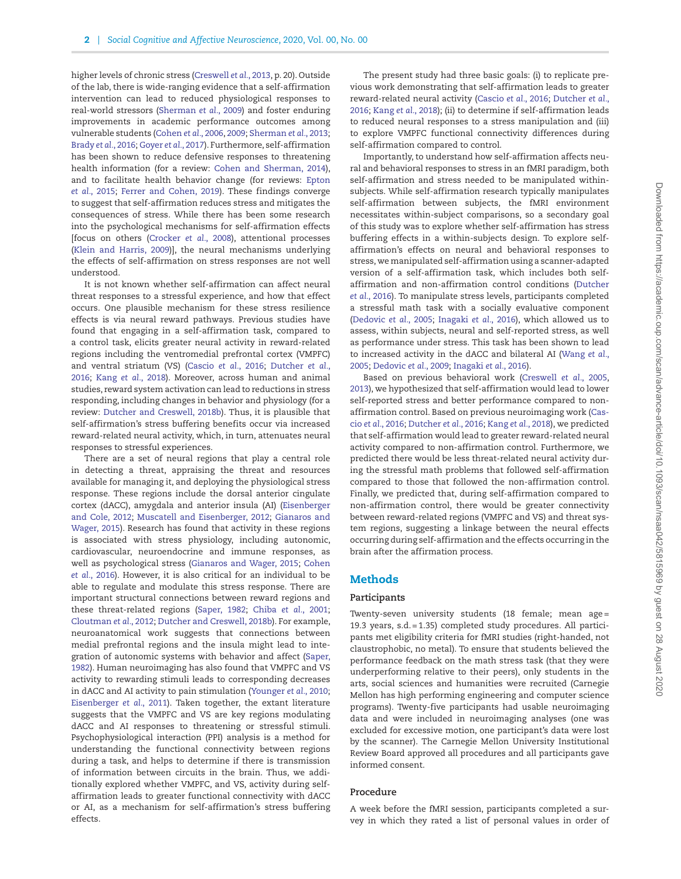higher levels of chronic stress [\(Creswell](#page-10-2) *et al.*, 2013, p. 20). Outside of the lab, there is wide-ranging evidence that a self-affirmation intervention can lead to reduced physiological responses to real-world stressors [\(Sherman](#page-11-1) *et al.*, 2009) and foster enduring improvements in academic performance outcomes among vulnerable students [\(Cohen](#page-10-3) *et al.*, 2006, [2009;](#page-10-4) [Sherman](#page-11-2) *et al.*, 2013; Brady *et al.*[, 2016;](#page-10-5) [Goyer](#page-10-6) *et al.*, 2017). Furthermore, self-affirmation has been shown to reduce defensive responses to threatening health information (for a review: [Cohen and Sherman, 2014\)](#page-10-0), [and to facilitate health behavior change \(for reviews:](#page-10-7) Epton *et al.*, 2015; [Ferrer and Cohen, 2019\)](#page-10-8). These findings converge to suggest that self-affirmation reduces stress and mitigates the consequences of stress. While there has been some research into the psychological mechanisms for self-affirmation effects [focus on others [\(Crocker](#page-10-9) *et al.*, 2008), attentional processes [\(Klein and Harris, 2009\)](#page-11-3)], the neural mechanisms underlying the effects of self-affirmation on stress responses are not well understood.

It is not known whether self-affirmation can affect neural threat responses to a stressful experience, and how that effect occurs. One plausible mechanism for these stress resilience effects is via neural reward pathways. Previous studies have found that engaging in a self-affirmation task, compared to a control task, elicits greater neural activity in reward-related regions including the ventromedial prefrontal cortex (VMPFC) and ventral striatum (VS) [\(Cascio](#page-10-10) *et al.*, 2016; Dutcher *et al.*, 2016; Kang *et al.*[, 2018\). Moreover, across human and animal](#page-10-11) studies, reward system activation can lead to reductions in stress responding, including changes in behavior and physiology (for a review: [Dutcher and Creswell, 2018b\)](#page-10-12). Thus, it is plausible that self-affirmation's stress buffering benefits occur via increased reward-related neural activity, which, in turn, attenuates neural responses to stressful experiences.

There are a set of neural regions that play a central role in detecting a threat, appraising the threat and resources available for managing it, and deploying the physiological stress response. These regions include the dorsal anterior cingulate [cortex \(dACC\), amygdala and anterior insula \(AI\) \(Eisenberger](#page-10-13) and Cole, 2012; [Muscatell and Eisenberger, 2012;](#page-11-5) Gianaros and [Wager, 2015\). Research has found that activity in these regions](#page-10-14) is associated with stress physiology, including autonomic, cardiovascular, neuroendocrine and immune responses, as well as psychological stress [\(Gianaros and Wager, 2015;](#page-10-14) Cohen *et al.*[, 2016\). However, it is also critical for an individual to be](#page-10-15) able to regulate and modulate this stress response. There are important structural connections between reward regions and these threat-related regions [\(Saper, 1982;](#page-11-6) Chiba *et al.*[, 2001;](#page-10-16) [Cloutman](#page-10-17) *et al.*, 2012; [Dutcher and Creswell, 2018b\)](#page-10-12). For example, neuroanatomical work suggests that connections between medial prefrontal regions and the insula might lead to inte[gration of autonomic systems with behavior and affect \(Saper,](#page-11-6) 1982). Human neuroimaging has also found that VMPFC and VS activity to rewarding stimuli leads to corresponding decreases in dACC and AI activity to pain stimulation [\(Younger](#page-11-7) *et al.*, 2010; [Eisenberger](#page-10-18) *et al.*, 2011). Taken together, the extant literature suggests that the VMPFC and VS are key regions modulating dACC and AI responses to threatening or stressful stimuli. Psychophysiological interaction (PPI) analysis is a method for understanding the functional connectivity between regions during a task, and helps to determine if there is transmission of information between circuits in the brain. Thus, we additionally explored whether VMPFC, and VS, activity during selfaffirmation leads to greater functional connectivity with dACC or AI, as a mechanism for self-affirmation's stress buffering effects.

The present study had three basic goals: (i) to replicate previous work demonstrating that self-affirmation leads to greater reward-related neural activity [\(Cascio](#page-10-10) *et al.*, 2016; Dutcher *et al.*, 2016; Kang *et al.*[, 2018\); \(ii\) to determine if self-affirmation leads](#page-10-11) to reduced neural responses to a stress manipulation and (iii) to explore VMPFC functional connectivity differences during self-affirmation compared to control.

Importantly, to understand how self-affirmation affects neural and behavioral responses to stress in an fMRI paradigm, both self-affirmation and stress needed to be manipulated withinsubjects. While self-affirmation research typically manipulates self-affirmation between subjects, the fMRI environment necessitates within-subject comparisons, so a secondary goal of this study was to explore whether self-affirmation has stress buffering effects in a within-subjects design. To explore selfaffirmation's effects on neural and behavioral responses to stress, we manipulated self-affirmation using a scanner-adapted version of a self-affirmation task, which includes both self[affirmation and non-affirmation control conditions \(Dutcher](#page-10-11) *et al.*, 2016). To manipulate stress levels, participants completed a stressful math task with a socially evaluative component [\(Dedovic](#page-10-19) *et al.*, 2005; [Inagaki](#page-10-20) *et al.*, 2016), which allowed us to assess, within subjects, neural and self-reported stress, as well as performance under stress. This task has been shown to lead [to increased activity in the dACC and bilateral AI \(Wang](#page-11-8) *et al.*, 2005; [Dedovic](#page-10-21) *et al.*, 2009; [Inagaki](#page-10-20) *et al.*, 2016).

Based on previous behavioral work [\(Creswell](#page-10-1) *et al.*, 2005, [2013\)](#page-10-2), we hypothesized that self-affirmation would lead to lower self-reported stress and better performance compared to non[affirmation control. Based on previous neuroimaging work \(Cas](#page-10-10)cio *et al.*, 2016; [Dutcher](#page-10-11) *et al.*, 2016; Kang *et al.*[, 2018\)](#page-11-4), we predicted that self-affirmation would lead to greater reward-related neural activity compared to non-affirmation control. Furthermore, we predicted there would be less threat-related neural activity during the stressful math problems that followed self-affirmation compared to those that followed the non-affirmation control. Finally, we predicted that, during self-affirmation compared to non-affirmation control, there would be greater connectivity between reward-related regions (VMPFC and VS) and threat system regions, suggesting a linkage between the neural effects occurring during self-affirmation and the effects occurring in the brain after the affirmation process.

## **Methods**

### **Participants**

Twenty-seven university students (18 female; mean age = 19.3 years, s.d. = 1.35) completed study procedures. All participants met eligibility criteria for fMRI studies (right-handed, not claustrophobic, no metal). To ensure that students believed the performance feedback on the math stress task (that they were underperforming relative to their peers), only students in the arts, social sciences and humanities were recruited (Carnegie Mellon has high performing engineering and computer science programs). Twenty-five participants had usable neuroimaging data and were included in neuroimaging analyses (one was excluded for excessive motion, one participant's data were lost by the scanner). The Carnegie Mellon University Institutional Review Board approved all procedures and all participants gave informed consent.

# **Procedure**

A week before the fMRI session, participants completed a survey in which they rated a list of personal values in order of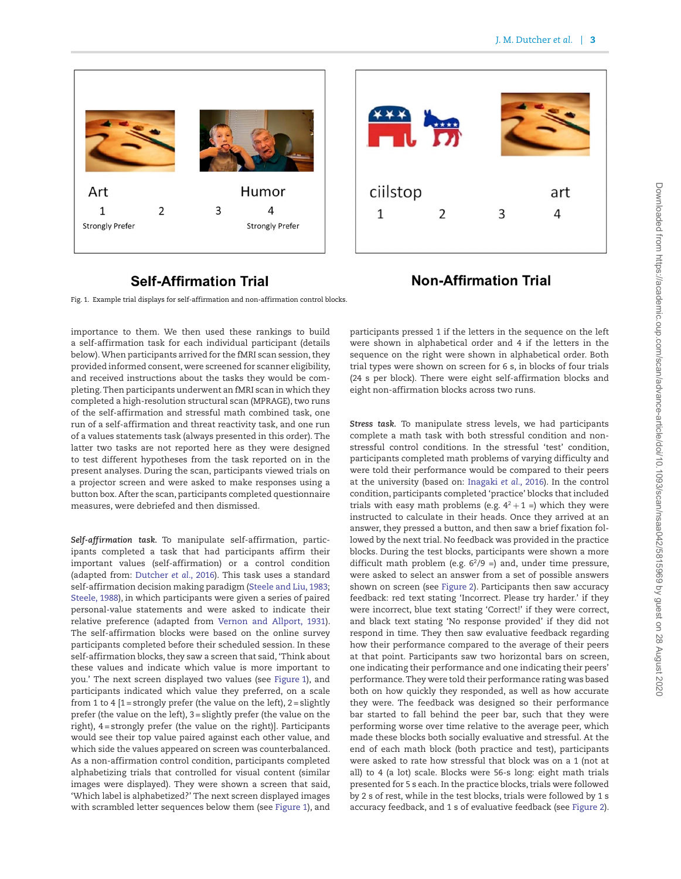



# **Self-Affirmation Trial**

# **Non-Affirmation Trial**

<span id="page-3-0"></span>Fig. 1. Example trial displays for self-affirmation and non-affirmation control blocks.

importance to them. We then used these rankings to build a self-affirmation task for each individual participant (details below).When participants arrived for the fMRI scan session, they provided informed consent, were screened for scanner eligibility, and received instructions about the tasks they would be completing. Then participants underwent an fMRI scan in which they completed a high-resolution structural scan (MPRAGE), two runs of the self-affirmation and stressful math combined task, one run of a self-affirmation and threat reactivity task, and one run of a values statements task (always presented in this order). The latter two tasks are not reported here as they were designed to test different hypotheses from the task reported on in the present analyses. During the scan, participants viewed trials on a projector screen and were asked to make responses using a button box. After the scan, participants completed questionnaire measures, were debriefed and then dismissed.

*Self-affirmation task.* To manipulate self-affirmation, participants completed a task that had participants affirm their important values (self-affirmation) or a control condition (adapted from: [Dutcher](#page-10-11) *et al.*, 2016). This task uses a standard self-affirmation decision making paradigm [\(Steele and Liu, 1983;](#page-11-9) [Steele, 1988\)](#page-11-10), in which participants were given a series of paired personal-value statements and were asked to indicate their relative preference (adapted from [Vernon and Allport, 1931\)](#page-11-11). The self-affirmation blocks were based on the online survey participants completed before their scheduled session. In these self-affirmation blocks, they saw a screen that said, 'Think about these values and indicate which value is more important to you.' The next screen displayed two values (see [Figure 1\)](#page-3-0), and participants indicated which value they preferred, on a scale from 1 to 4  $[1 =$  strongly prefer (the value on the left),  $2 =$  slightly prefer (the value on the left), 3 = slightly prefer (the value on the right), 4 = strongly prefer (the value on the right)]. Participants would see their top value paired against each other value, and which side the values appeared on screen was counterbalanced. As a non-affirmation control condition, participants completed alphabetizing trials that controlled for visual content (similar images were displayed). They were shown a screen that said, 'Which label is alphabetized?' The next screen displayed images with scrambled letter sequences below them (see [Figure 1\)](#page-3-0), and participants pressed 1 if the letters in the sequence on the left were shown in alphabetical order and 4 if the letters in the sequence on the right were shown in alphabetical order. Both trial types were shown on screen for 6 s, in blocks of four trials (24 s per block). There were eight self-affirmation blocks and eight non-affirmation blocks across two runs.

*Stress task.* To manipulate stress levels, we had participants complete a math task with both stressful condition and nonstressful control conditions. In the stressful 'test' condition, participants completed math problems of varying difficulty and were told their performance would be compared to their peers at the university (based on: [Inagaki](#page-10-20) *et al.*, 2016). In the control condition, participants completed 'practice' blocks that included trials with easy math problems (e.g.  $4^2 + 1 =$ ) which they were instructed to calculate in their heads. Once they arrived at an answer, they pressed a button, and then saw a brief fixation followed by the next trial. No feedback was provided in the practice blocks. During the test blocks, participants were shown a more difficult math problem (e.g.  $6^{2}/9$  =) and, under time pressure, were asked to select an answer from a set of possible answers shown on screen (see [Figure 2\)](#page-4-0). Participants then saw accuracy feedback: red text stating 'Incorrect. Please try harder.' if they were incorrect, blue text stating 'Correct!' if they were correct, and black text stating 'No response provided' if they did not respond in time. They then saw evaluative feedback regarding how their performance compared to the average of their peers at that point. Participants saw two horizontal bars on screen, one indicating their performance and one indicating their peers' performance. They were told their performance rating was based both on how quickly they responded, as well as how accurate they were. The feedback was designed so their performance bar started to fall behind the peer bar, such that they were performing worse over time relative to the average peer, which made these blocks both socially evaluative and stressful. At the end of each math block (both practice and test), participants were asked to rate how stressful that block was on a 1 (not at all) to 4 (a lot) scale. Blocks were 56-s long: eight math trials presented for 5 s each. In the practice blocks, trials were followed by 2 s of rest, while in the test blocks, trials were followed by 1 s accuracy feedback, and 1 s of evaluative feedback (see [Figure 2\)](#page-4-0).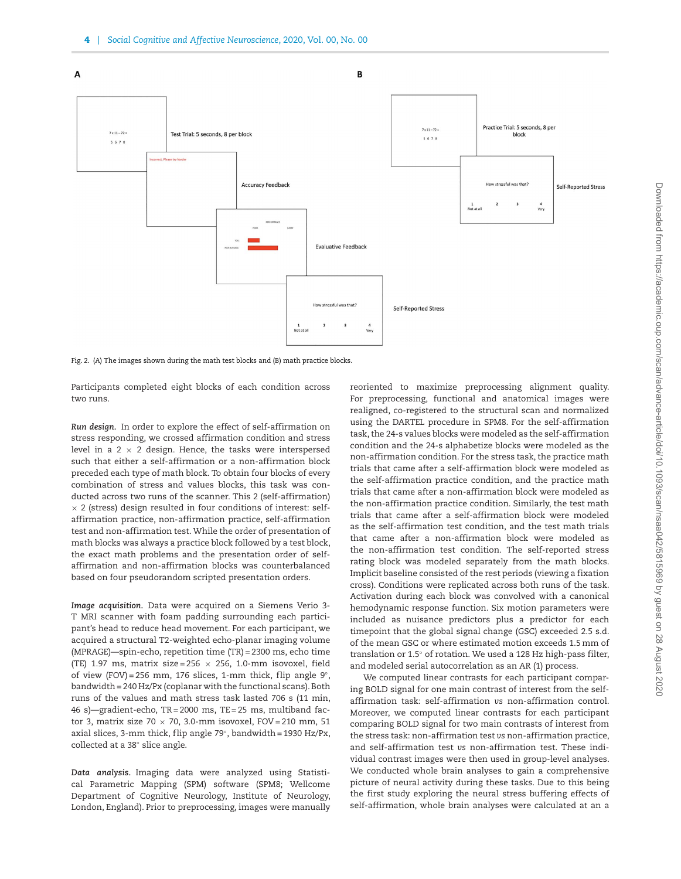

<span id="page-4-0"></span>Fig. 2. (A) The images shown during the math test blocks and (B) math practice blocks

Participants completed eight blocks of each condition across two runs.

*Run design.* In order to explore the effect of self-affirmation on stress responding, we crossed affirmation condition and stress level in a 2  $\times$  2 design. Hence, the tasks were interspersed such that either a self-affirmation or a non-affirmation block preceded each type of math block. To obtain four blocks of every combination of stress and values blocks, this task was conducted across two runs of the scanner. This 2 (self-affirmation)  $\times$  2 (stress) design resulted in four conditions of interest: selfaffirmation practice, non-affirmation practice, self-affirmation test and non-affirmation test. While the order of presentation of math blocks was always a practice block followed by a test block, the exact math problems and the presentation order of selfaffirmation and non-affirmation blocks was counterbalanced based on four pseudorandom scripted presentation orders.

*Image acquisition.* Data were acquired on a Siemens Verio 3- T MRI scanner with foam padding surrounding each participant's head to reduce head movement. For each participant, we acquired a structural T2-weighted echo-planar imaging volume (MPRAGE)—spin-echo, repetition time (TR) = 2300 ms, echo time (TE) 1.97 ms, matrix size = 256  $\times$  256, 1.0-mm isovoxel, field of view (FOV) = 256 mm, 176 slices, 1-mm thick, flip angle  $9°$ , bandwidth = 240 Hz/Px (coplanar with the functional scans). Both runs of the values and math stress task lasted 706 s (11 min, 46 s)—gradient-echo, TR = 2000 ms, TE = 25 ms, multiband factor 3, matrix size 70  $\times$  70, 3.0-mm isovoxel, FOV = 210 mm, 51 axial slices, 3-mm thick, f lip angle 79◦, bandwidth = 1930 Hz/Px, collected at a 38◦ slice angle.

*Data analysis.* Imaging data were analyzed using Statistical Parametric Mapping (SPM) software (SPM8; Wellcome Department of Cognitive Neurology, Institute of Neurology, London, England). Prior to preprocessing, images were manually reoriented to maximize preprocessing alignment quality. For preprocessing, functional and anatomical images were realigned, co-registered to the structural scan and normalized using the DARTEL procedure in SPM8. For the self-affirmation task, the 24-s values blocks were modeled as the self-affirmation condition and the 24-s alphabetize blocks were modeled as the non-affirmation condition. For the stress task, the practice math trials that came after a self-affirmation block were modeled as the self-affirmation practice condition, and the practice math trials that came after a non-affirmation block were modeled as the non-affirmation practice condition. Similarly, the test math trials that came after a self-affirmation block were modeled as the self-affirmation test condition, and the test math trials that came after a non-affirmation block were modeled as the non-affirmation test condition. The self-reported stress rating block was modeled separately from the math blocks. Implicit baseline consisted of the rest periods (viewing a fixation cross). Conditions were replicated across both runs of the task. Activation during each block was convolved with a canonical hemodynamic response function. Six motion parameters were included as nuisance predictors plus a predictor for each timepoint that the global signal change (GSC) exceeded 2.5 s.d. of the mean GSC or where estimated motion exceeds 1.5mm of translation or 1.5◦ of rotation. We used a 128 Hz high-pass filter, and modeled serial autocorrelation as an AR (1) process.

We computed linear contrasts for each participant comparing BOLD signal for one main contrast of interest from the selfaffirmation task: self-affirmation *vs* non-affirmation control. Moreover, we computed linear contrasts for each participant comparing BOLD signal for two main contrasts of interest from the stress task: non-affirmation test *vs* non-affirmation practice, and self-affirmation test *vs* non-affirmation test. These individual contrast images were then used in group-level analyses. We conducted whole brain analyses to gain a comprehensive picture of neural activity during these tasks. Due to this being the first study exploring the neural stress buffering effects of self-affirmation, whole brain analyses were calculated at an a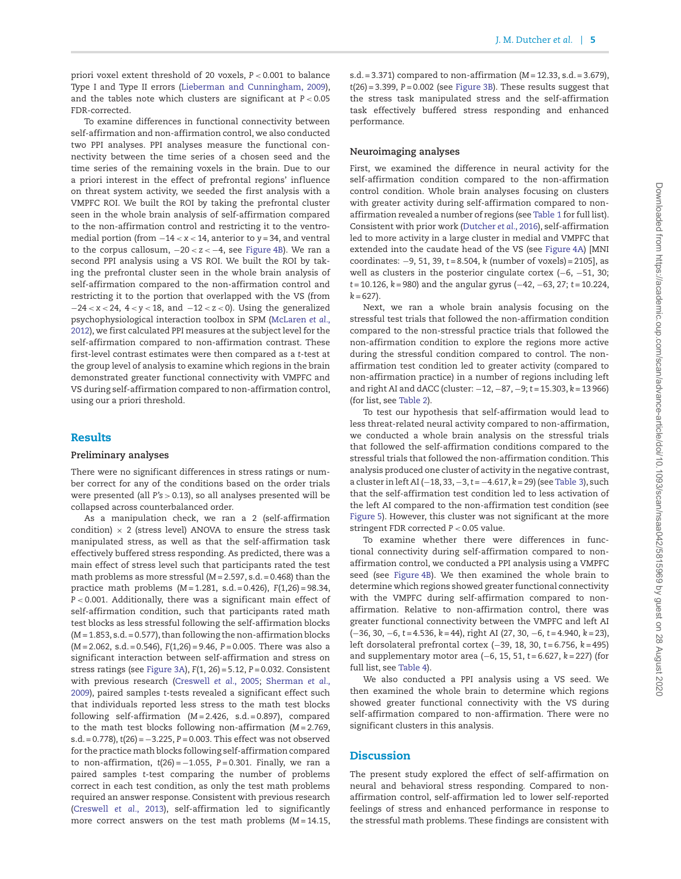priori voxel extent threshold of 20 voxels, *P <* 0.001 to balance Type I and Type II errors [\(Lieberman and Cunningham, 2009\)](#page-11-12), and the tables note which clusters are significant at *P <* 0.05 FDR-corrected.

To examine differences in functional connectivity between self-affirmation and non-affirmation control, we also conducted two PPI analyses. PPI analyses measure the functional connectivity between the time series of a chosen seed and the time series of the remaining voxels in the brain. Due to our a priori interest in the effect of prefrontal regions' influence on threat system activity, we seeded the first analysis with a VMPFC ROI. We built the ROI by taking the prefrontal cluster seen in the whole brain analysis of self-affirmation compared to the non-affirmation control and restricting it to the ventromedial portion (from −14 *< x <* 14, anterior to *y* = 34, and ventral to the corpus callosum, −20 *< z <* −4, see [Figure 4B\)](#page-7-0). We ran a second PPI analysis using a VS ROI. We built the ROI by taking the prefrontal cluster seen in the whole brain analysis of self-affirmation compared to the non-affirmation control and restricting it to the portion that overlapped with the VS (from −24 *< x <* 24, 4 *< y <* 18, and −12 *< z <* 0). Using the generalized psychophysiological interaction toolbox in SPM (McLaren *et al.*, [2012\), we first calculated PPI measures at the subject level for the](#page-11-13) self-affirmation compared to non-affirmation contrast. These first-level contrast estimates were then compared as a *t*-test at the group level of analysis to examine which regions in the brain demonstrated greater functional connectivity with VMPFC and VS during self-affirmation compared to non-affirmation control, using our a priori threshold.

## **Results**

#### **Preliminary analyses**

There were no significant differences in stress ratings or number correct for any of the conditions based on the order trials were presented (all *P's >* 0.13), so all analyses presented will be collapsed across counterbalanced order.

As a manipulation check, we ran a 2 (self-affirmation condition)  $\times$  2 (stress level) ANOVA to ensure the stress task manipulated stress, as well as that the self-affirmation task effectively buffered stress responding. As predicted, there was a main effect of stress level such that participants rated the test math problems as more stressful (*M* = 2.597, s.d. = 0.468) than the practice math problems (*M* = 1.281, s.d. = 0.426), *F*(1,26) = 98.34, *P <* 0.001. Additionally, there was a significant main effect of self-affirmation condition, such that participants rated math test blocks as less stressful following the self-affirmation blocks (*M* = 1.853, s.d. = 0.577), than following the non-affirmation blocks (*M* = 2.062, s.d. = 0.546), *F*(1,26) = 9.46, *P* = 0.005. There was also a significant interaction between self-affirmation and stress on stress ratings (see [Figure 3A\)](#page-6-0), *F*(1, 26) = 5.12, *P* = 0.032. Consistent with previous research [\(Creswell](#page-10-1) *et al.*, 2005; Sherman *et al.*, 2009), paired samples *t*[-tests revealed a significant effect such](#page-11-1) that individuals reported less stress to the math test blocks following self-affirmation (*M* = 2.426, s.d. = 0.897), compared to the math test blocks following non-affirmation (*M* = 2.769, s.d. = 0.778), *t*(26) = −3.225, *P* = 0.003. This effect was not observed for the practice math blocks following self-affirmation compared to non-affirmation, *t*(26) = −1.055, *P* = 0.301. Finally, we ran a paired samples *t*-test comparing the number of problems correct in each test condition, as only the test math problems required an answer response. Consistent with previous research [\(Creswell](#page-10-2) *et al.*, 2013), self-affirmation led to significantly more correct answers on the test math problems (*M* = 14.15, s.d. = 3.371) compared to non-affirmation (*M* = 12.33, s.d. = 3.679), *t*(26) = 3.399, *P* = 0.002 (see [Figure 3B\)](#page-6-0). These results suggest that the stress task manipulated stress and the self-affirmation task effectively buffered stress responding and enhanced performance.

#### **Neuroimaging analyses**

First, we examined the difference in neural activity for the self-affirmation condition compared to the non-affirmation control condition. Whole brain analyses focusing on clusters with greater activity during self-affirmation compared to nonaffirmation revealed a number of regions (see [Table 1](#page-6-1) for full list). Consistent with prior work [\(Dutcher](#page-10-11) *et al.*, 2016), self-affirmation led to more activity in a large cluster in medial and VMPFC that extended into the caudate head of the VS (see [Figure 4A\)](#page-7-0) [MNI coordinates: −9, 51, 39, *t* = 8.504, *k* (number of voxels) = 2105], as well as clusters in the posterior cingulate cortex (−6, −51, 30; *t* = 10.126, *k* = 980) and the angular gyrus (−42, −63, 27; *t* = 10.224,  $k = 627$ .

Next, we ran a whole brain analysis focusing on the stressful test trials that followed the non-affirmation condition compared to the non-stressful practice trials that followed the non-affirmation condition to explore the regions more active during the stressful condition compared to control. The nonaffirmation test condition led to greater activity (compared to non-affirmation practice) in a number of regions including left and right AI and dACC (cluster: −12, −87, −9; *t* = 15.303, *k* = 13 966) (for list, see [Table 2\)](#page-7-1).

To test our hypothesis that self-affirmation would lead to less threat-related neural activity compared to non-affirmation, we conducted a whole brain analysis on the stressful trials that followed the self-affirmation conditions compared to the stressful trials that followed the non-affirmation condition. This analysis produced one cluster of activity in the negative contrast, a cluster in left AI (−18, 33,−3,*t* = −4.617, *k* = 29) (see [Table 3\)](#page-7-2), such that the self-affirmation test condition led to less activation of the left AI compared to the non-affirmation test condition (see [Figure 5\)](#page-8-0). However, this cluster was not significant at the more stringent FDR corrected *P <* 0.05 value.

To examine whether there were differences in functional connectivity during self-affirmation compared to nonaffirmation control, we conducted a PPI analysis using a VMPFC seed (see [Figure 4B\)](#page-7-0). We then examined the whole brain to determine which regions showed greater functional connectivity with the VMPFC during self-affirmation compared to nonaffirmation. Relative to non-affirmation control, there was greater functional connectivity between the VMPFC and left AI (−36, 30, −6, *t* = 4.536, *k* = 44), right AI (27, 30, −6, *t* = 4.940, *k* = 23), left dorsolateral prefrontal cortex (−39, 18, 30, *t* = 6.756, *k* = 495) and supplementary motor area (−6, 15, 51, *t* = 6.627, *k* = 227) (for full list, see [Table 4\)](#page-8-1).

We also conducted a PPI analysis using a VS seed. We then examined the whole brain to determine which regions showed greater functional connectivity with the VS during self-affirmation compared to non-affirmation. There were no significant clusters in this analysis.

# **Discussion**

The present study explored the effect of self-affirmation on neural and behavioral stress responding. Compared to nonaffirmation control, self-affirmation led to lower self-reported feelings of stress and enhanced performance in response to the stressful math problems. These findings are consistent with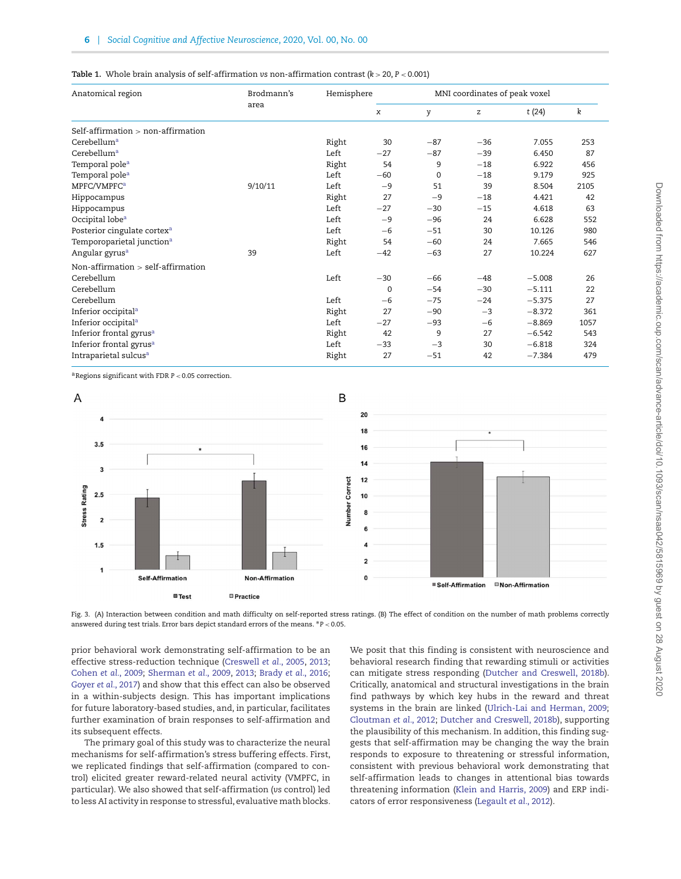<span id="page-6-1"></span>

|  |  |  |  | Table 1. Whole brain analysis of self-affirmation vs non-affirmation contrast ( $k > 20$ , $P < 0.001$ ) |  |  |  |
|--|--|--|--|----------------------------------------------------------------------------------------------------------|--|--|--|
|--|--|--|--|----------------------------------------------------------------------------------------------------------|--|--|--|

| Anatomical region                       | Brodmann's<br>area |       | Hemisphere          | MNI coordinates of peak voxel |       |          |      |  |  |
|-----------------------------------------|--------------------|-------|---------------------|-------------------------------|-------|----------|------|--|--|
|                                         |                    |       | $\boldsymbol{\chi}$ | y                             | z     | t(24)    | k    |  |  |
| Self-affirmation $>$ non-affirmation    |                    |       |                     |                               |       |          |      |  |  |
| Cerebellum <sup>a</sup>                 |                    | Right | 30                  | $-87$                         | $-36$ | 7.055    | 253  |  |  |
| Cerebellum <sup>a</sup>                 |                    | Left  | $-27$               | $-87$                         | $-39$ | 6.450    | 87   |  |  |
| Temporal pole <sup>a</sup>              |                    | Right | 54                  | 9                             | $-18$ | 6.922    | 456  |  |  |
| Temporal pole <sup>a</sup>              |                    | Left  | $-60$               | $\mathbf 0$                   | $-18$ | 9.179    | 925  |  |  |
| MPFC/VMPFC <sup>a</sup>                 | 9/10/11            | Left  | $-9$                | 51                            | 39    | 8.504    | 2105 |  |  |
| Hippocampus                             |                    | Right | 27                  | $-9$                          | $-18$ | 4.421    | 42   |  |  |
| Hippocampus                             |                    | Left  | $-27$               | $-30$                         | $-15$ | 4.618    | 63   |  |  |
| Occipital lobe <sup>a</sup>             |                    | Left  | $-9$                | $-96$                         | 24    | 6.628    | 552  |  |  |
| Posterior cingulate cortex <sup>a</sup> |                    | Left  | $-6$                | $-51$                         | 30    | 10.126   | 980  |  |  |
| Temporoparietal junction <sup>a</sup>   |                    | Right | 54                  | $-60$                         | 24    | 7.665    | 546  |  |  |
| Angular gyrus <sup>a</sup>              | 39                 | Left  | $-42$               | $-63$                         | 27    | 10.224   | 627  |  |  |
| Non-affirmation $>$ self-affirmation    |                    |       |                     |                               |       |          |      |  |  |
| Cerebellum                              |                    | Left  | $-30$               | $-66$                         | $-48$ | $-5.008$ | 26   |  |  |
| Cerebellum                              |                    |       | $\mathbf 0$         | $-54$                         | $-30$ | $-5.111$ | 22   |  |  |
| Cerebellum                              |                    | Left  | $-6$                | $-75$                         | $-24$ | $-5.375$ | 27   |  |  |
| Inferior occipital <sup>a</sup>         |                    | Right | 27                  | $-90$                         | $-3$  | $-8.372$ | 361  |  |  |
| Inferior occipital <sup>a</sup>         |                    | Left  | $-27$               | $-93$                         | $-6$  | $-8.869$ | 1057 |  |  |
| Inferior frontal gyrus <sup>a</sup>     |                    | Right | 42                  | 9                             | 27    | $-6.542$ | 543  |  |  |
| Inferior frontal gyrus <sup>a</sup>     |                    | Left  | $-33$               | $-3$                          | 30    | $-6.818$ | 324  |  |  |
| Intraparietal sulcus <sup>a</sup>       |                    | Right | 27                  | $-51$                         | 42    | $-7.384$ | 479  |  |  |

aRegions significant with FDR *P <* 0.05 correction.



<span id="page-6-0"></span>Fig. 3. (A) Interaction between condition and math difficulty on self-reported stress ratings. (B) The effect of condition on the number of math problems correctly answered during test trials. Error bars depict standard errors of the means. ∗*P <* 0.05.

prior behavioral work demonstrating self-affirmation to be an effective stress-reduction technique [\(Creswell](#page-10-1) *et al.*, 2005, [2013;](#page-10-2) [Cohen](#page-10-4) *et al.*, 2009; [Sherman](#page-11-1) *et al.*, 2009, [2013;](#page-11-2) Brady *et al.*[, 2016;](#page-10-5) Goyer *et al.*[, 2017\)](#page-10-6) and show that this effect can also be observed in a within-subjects design. This has important implications for future laboratory-based studies, and, in particular, facilitates further examination of brain responses to self-affirmation and its subsequent effects.

The primary goal of this study was to characterize the neural mechanisms for self-affirmation's stress buffering effects. First, we replicated findings that self-affirmation (compared to control) elicited greater reward-related neural activity (VMPFC, in particular). We also showed that self-affirmation (*vs* control) led to less AI activity in response to stressful, evaluative math blocks*.* We posit that this finding is consistent with neuroscience and behavioral research finding that rewarding stimuli or activities can mitigate stress responding [\(Dutcher and Creswell, 2018b\)](#page-10-12). Critically, anatomical and structural investigations in the brain find pathways by which key hubs in the reward and threat systems in the brain are linked [\(Ulrich-Lai and Herman, 2009;](#page-11-14) [Cloutman](#page-10-17) *et al.*, 2012; [Dutcher and Creswell, 2018b\)](#page-10-12), supporting the plausibility of this mechanism. In addition, this finding suggests that self-affirmation may be changing the way the brain responds to exposure to threatening or stressful information, consistent with previous behavioral work demonstrating that self-affirmation leads to changes in attentional bias towards threatening information [\(Klein and Harris, 2009\)](#page-11-3) and ERP indicators of error responsiveness [\(Legault](#page-11-15) *et al.*, 2012).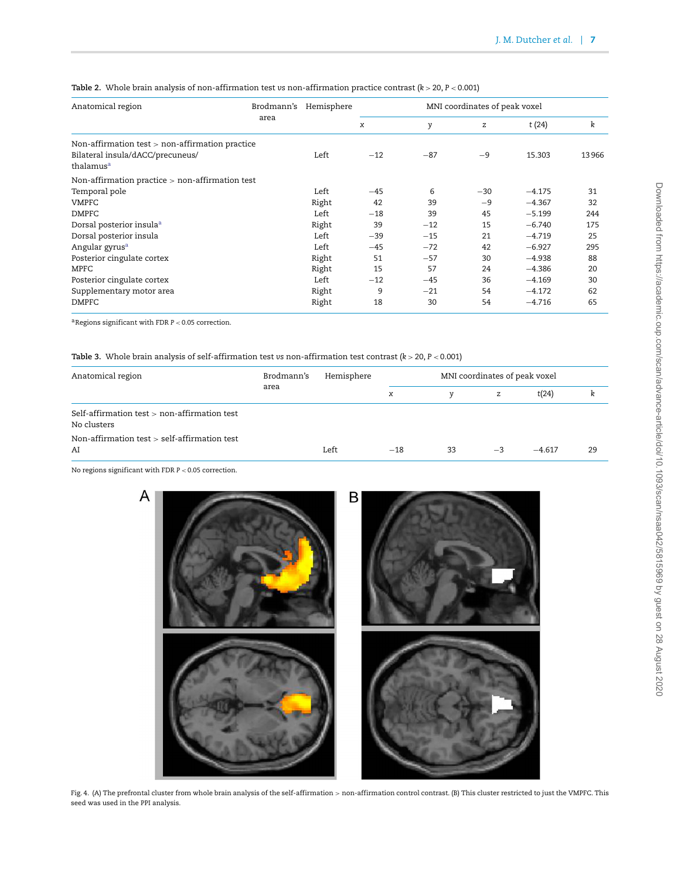| Anatomical region                                         | Brodmann's | Hemisphere | MNI coordinates of peak voxel |       |       |          |       |  |
|-----------------------------------------------------------|------------|------------|-------------------------------|-------|-------|----------|-------|--|
|                                                           | area       |            | x                             | y     | z     | t(24)    | k     |  |
| Non-affirmation test $>$ non-affirmation practice         |            |            |                               |       |       |          |       |  |
| Bilateral insula/dACC/precuneus/<br>thalamus <sup>a</sup> |            | Left       | $-12$                         | $-87$ | $-9$  | 15.303   | 13966 |  |
| Non-affirmation practice $>$ non-affirmation test         |            |            |                               |       |       |          |       |  |
| Temporal pole                                             |            | Left       | $-45$                         | 6     | $-30$ | $-4.175$ | 31    |  |
| VMPFC                                                     |            | Right      | 42                            | 39    | $-9$  | $-4.367$ | 32    |  |
| <b>DMPFC</b>                                              |            | Left       | $-18$                         | 39    | 45    | $-5.199$ | 244   |  |
| Dorsal posterior insula <sup>a</sup>                      |            | Right      | 39                            | $-12$ | 15    | $-6.740$ | 175   |  |
| Dorsal posterior insula                                   |            | Left       | $-39$                         | $-15$ | 21    | $-4.719$ | 25    |  |
| Angular gyrus <sup>a</sup>                                |            | Left       | $-45$                         | $-72$ | 42    | $-6.927$ | 295   |  |
| Posterior cingulate cortex                                |            | Right      | 51                            | $-57$ | 30    | $-4.938$ | 88    |  |
| <b>MPFC</b>                                               |            | Right      | 15                            | 57    | 24    | $-4.386$ | 20    |  |
| Posterior cingulate cortex                                |            | Left       | $-12$                         | $-45$ | 36    | $-4.169$ | 30    |  |
| Supplementary motor area                                  |            | Right      | 9                             | $-21$ | 54    | $-4.172$ | 62    |  |
| <b>DMPFC</b>                                              |            | Right      | 18                            | 30    | 54    | $-4.716$ | 65    |  |

<span id="page-7-1"></span>**Table 2.** Whole brain analysis of non-affirmation test *vs* non-affirmation practice contrast (*k >* 20, *P <* 0.001)

aRegions significant with FDR *P <* 0.05 correction.

<span id="page-7-2"></span>**Table 3.** Whole brain analysis of self-affirmation test *vs* non-affirmation test contrast (*k >* 20, *P <* 0.001)

| Anatomical region                                             | Brodmann's<br>area | Hemisphere |                     | MNI coordinates of peak voxel |      |          |    |  |  |
|---------------------------------------------------------------|--------------------|------------|---------------------|-------------------------------|------|----------|----|--|--|
|                                                               |                    |            | $\boldsymbol{\chi}$ | v                             | z    | t(24)    |    |  |  |
| Self-affirmation test $>$ non-affirmation test<br>No clusters |                    |            |                     |                               |      |          |    |  |  |
| Non-affirmation test > self-affirmation test<br>AI            |                    | Left       | $-18$               | 33                            | $-3$ | $-4.617$ | 29 |  |  |

No regions significant with FDR *P <* 0.05 correction.



<span id="page-7-0"></span>Fig. 4. (A) The prefrontal cluster from whole brain analysis of the self-affirmation *>* non-affirmation control contrast. (B) This cluster restricted to just the VMPFC. This seed was used in the PPI analysis.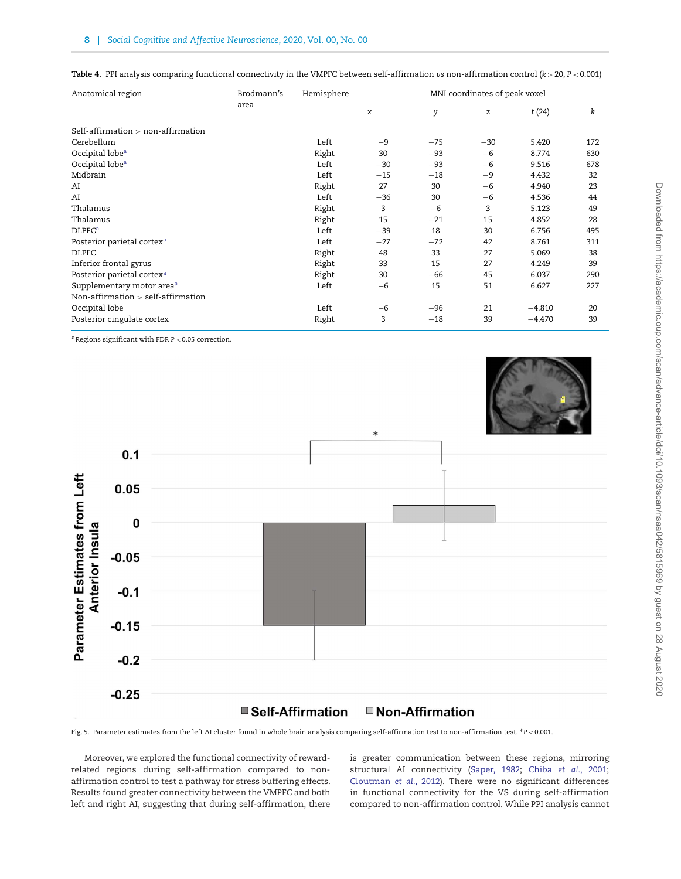| Anatomical region                      | Brodmann's | Hemisphere | MNI coordinates of peak voxel |       |       |          |     |  |
|----------------------------------------|------------|------------|-------------------------------|-------|-------|----------|-----|--|
|                                        | area       |            | x                             | y     | z     | t(24)    | k   |  |
| Self-affirmation $>$ non-affirmation   |            |            |                               |       |       |          |     |  |
| Cerebellum                             |            | Left       | $-9$                          | $-75$ | $-30$ | 5.420    | 172 |  |
| Occipital lobe <sup>a</sup>            |            | Right      | 30                            | $-93$ | $-6$  | 8.774    | 630 |  |
| Occipital lobe <sup>a</sup>            |            | Left       | $-30$                         | $-93$ | $-6$  | 9.516    | 678 |  |
| Midbrain                               |            | Left       | $-15$                         | $-18$ | $-9$  | 4.432    | 32  |  |
| AI                                     |            | Right      | 27                            | 30    | $-6$  | 4.940    | 23  |  |
| AI                                     |            | Left       | $-36$                         | 30    | $-6$  | 4.536    | 44  |  |
| Thalamus                               |            | Right      | 3                             | $-6$  | 3     | 5.123    | 49  |  |
| Thalamus                               |            | Right      | 15                            | $-21$ | 15    | 4.852    | 28  |  |
| <b>DLPFC<sup>a</sup></b>               |            | Left       | $-39$                         | 18    | 30    | 6.756    | 495 |  |
| Posterior parietal cortex <sup>a</sup> |            | Left       | $-27$                         | $-72$ | 42    | 8.761    | 311 |  |
| <b>DLPFC</b>                           |            | Right      | 48                            | 33    | 27    | 5.069    | 38  |  |
| Inferior frontal gyrus                 |            | Right      | 33                            | 15    | 27    | 4.249    | 39  |  |
| Posterior parietal cortex <sup>a</sup> |            | Right      | 30                            | $-66$ | 45    | 6.037    | 290 |  |
| Supplementary motor area <sup>a</sup>  |            | Left       | $-6$                          | 15    | 51    | 6.627    | 227 |  |
| Non-affirmation $>$ self-affirmation   |            |            |                               |       |       |          |     |  |
| Occipital lobe                         |            | Left       | $-6$                          | $-96$ | 21    | $-4.810$ | 20  |  |
| Posterior cingulate cortex             |            | Right      | 3                             | $-18$ | 39    | $-4.470$ | 39  |  |

<span id="page-8-1"></span>**Table 4.** PPI analysis comparing functional connectivity in the VMPFC between self-affirmation *vs* non-affirmation control (*k >* 20, *P <* 0.001)

aRegions significant with FDR *P <* 0.05 correction.



#### <span id="page-8-0"></span>Fig. 5. Parameter estimates from the left AI cluster found in whole brain analysis comparing self-affirmation test to non-affirmation test. ∗*P <* 0.001.

Moreover, we explored the functional connectivity of rewardrelated regions during self-affirmation compared to nonaffirmation control to test a pathway for stress buffering effects. Results found greater connectivity between the VMPFC and both left and right AI, suggesting that during self-affirmation, there is greater communication between these regions, mirroring structural AI connectivity [\(Saper, 1982;](#page-11-6) Chiba *et al.*[, 2001;](#page-10-16) [Cloutman](#page-10-17) *et al.*, 2012). There were no significant differences in functional connectivity for the VS during self-affirmation compared to non-affirmation control. While PPI analysis cannot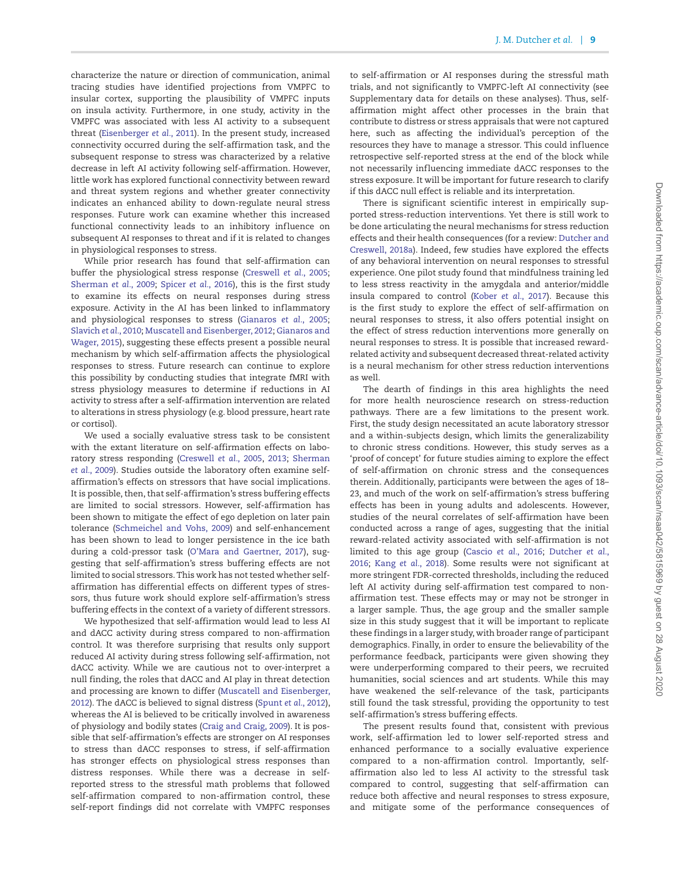characterize the nature or direction of communication, animal tracing studies have identified projections from VMPFC to insular cortex, supporting the plausibility of VMPFC inputs on insula activity. Furthermore, in one study, activity in the VMPFC was associated with less AI activity to a subsequent threat [\(Eisenberger](#page-10-18) *et al.*, 2011). In the present study, increased connectivity occurred during the self-affirmation task, and the subsequent response to stress was characterized by a relative decrease in left AI activity following self-affirmation. However, little work has explored functional connectivity between reward and threat system regions and whether greater connectivity indicates an enhanced ability to down-regulate neural stress responses. Future work can examine whether this increased functional connectivity leads to an inhibitory influence on subsequent AI responses to threat and if it is related to changes in physiological responses to stress.

While prior research has found that self-affirmation can buffer the physiological stress response [\(Creswell](#page-10-1) *et al.*, 2005; [Sherman](#page-11-1) *et al.*, 2009; [Spicer](#page-11-0) *et al.*, 2016), this is the first study to examine its effects on neural responses during stress exposure. Activity in the AI has been linked to inflammatory and physiological responses to stress [\(Gianaros](#page-10-22) *et al.*, 2005; [Slavich](#page-11-16) *et al.*, 2010; [Muscatell and Eisenberger, 2012;](#page-11-5) Gianaros and [Wager, 2015\), suggesting these effects present a possible neural](#page-10-14) mechanism by which self-affirmation affects the physiological responses to stress. Future research can continue to explore this possibility by conducting studies that integrate fMRI with stress physiology measures to determine if reductions in AI activity to stress after a self-affirmation intervention are related to alterations in stress physiology (e.g. blood pressure, heart rate or cortisol).

We used a socially evaluative stress task to be consistent with the extant literature on self-affirmation effects on laboratory stress responding [\(Creswell](#page-10-1) *et al.*, 2005, [2013;](#page-10-2) Sherman *et al.*[, 2009\). Studies outside the laboratory often examine self](#page-11-1)affirmation's effects on stressors that have social implications. It is possible, then, that self-affirmation's stress buffering effects are limited to social stressors. However, self-affirmation has been shown to mitigate the effect of ego depletion on later pain tolerance [\(Schmeichel and Vohs, 2009\)](#page-11-17) and self-enhancement has been shown to lead to longer persistence in the ice bath during a cold-pressor task [\(O'Mara and Gaertner, 2017\)](#page-11-18), suggesting that self-affirmation's stress buffering effects are not limited to social stressors. This work has not tested whether selfaffirmation has differential effects on different types of stressors, thus future work should explore self-affirmation's stress buffering effects in the context of a variety of different stressors.

We hypothesized that self-affirmation would lead to less AI and dACC activity during stress compared to non-affirmation control. It was therefore surprising that results only support reduced AI activity during stress following self-affirmation, not dACC activity. While we are cautious not to over-interpret a null finding, the roles that dACC and AI play in threat detection [and processing are known to differ \(Muscatell and Eisenberger,](#page-11-5) 2012). The dACC is believed to signal distress [\(Spunt](#page-11-19) *et al.*, 2012), whereas the AI is believed to be critically involved in awareness of physiology and bodily states [\(Craig and Craig, 2009\)](#page-10-23). It is possible that self-affirmation's effects are stronger on AI responses to stress than dACC responses to stress, if self-affirmation has stronger effects on physiological stress responses than distress responses. While there was a decrease in selfreported stress to the stressful math problems that followed self-affirmation compared to non-affirmation control, these self-report findings did not correlate with VMPFC responses to self-affirmation or AI responses during the stressful math trials, and not significantly to VMPFC-left AI connectivity (see Supplementary data for details on these analyses). Thus, selfaffirmation might affect other processes in the brain that contribute to distress or stress appraisals that were not captured here, such as affecting the individual's perception of the resources they have to manage a stressor. This could influence retrospective self-reported stress at the end of the block while not necessarily influencing immediate dACC responses to the stress exposure. It will be important for future research to clarify if this dACC null effect is reliable and its interpretation.

There is significant scientific interest in empirically supported stress-reduction interventions. Yet there is still work to be done articulating the neural mechanisms for stress reduction effects and their health consequences (for a review: Dutcher and [Creswell, 2018a\). Indeed, few studies have explored the effects](#page-10-24) of any behavioral intervention on neural responses to stressful experience. One pilot study found that mindfulness training led to less stress reactivity in the amygdala and anterior/middle insula compared to control (Kober *et al.*[, 2017\)](#page-11-20). Because this is the first study to explore the effect of self-affirmation on neural responses to stress, it also offers potential insight on the effect of stress reduction interventions more generally on neural responses to stress. It is possible that increased rewardrelated activity and subsequent decreased threat-related activity is a neural mechanism for other stress reduction interventions as well.

The dearth of findings in this area highlights the need for more health neuroscience research on stress-reduction pathways. There are a few limitations to the present work. First, the study design necessitated an acute laboratory stressor and a within-subjects design, which limits the generalizability to chronic stress conditions. However, this study serves as a 'proof of concept' for future studies aiming to explore the effect of self-affirmation on chronic stress and the consequences therein. Additionally, participants were between the ages of 18– 23, and much of the work on self-affirmation's stress buffering effects has been in young adults and adolescents. However, studies of the neural correlates of self-affirmation have been conducted across a range of ages, suggesting that the initial reward-related activity associated with self-affirmation is not limited to this age group [\(Cascio](#page-10-10) *et al.*, 2016; Dutcher *et al.*, 2016; Kang *et al.*[, 2018\)](#page-11-4)*.* [Some results were not significant at](#page-10-11) more stringent FDR-corrected thresholds, including the reduced left AI activity during self-affirmation test compared to nonaffirmation test. These effects may or may not be stronger in a larger sample. Thus, the age group and the smaller sample size in this study suggest that it will be important to replicate these findings in a larger study, with broader range of participant demographics. Finally, in order to ensure the believability of the performance feedback, participants were given showing they were underperforming compared to their peers, we recruited humanities, social sciences and art students. While this may have weakened the self-relevance of the task, participants still found the task stressful, providing the opportunity to test self-affirmation's stress buffering effects.

The present results found that, consistent with previous work, self-affirmation led to lower self-reported stress and enhanced performance to a socially evaluative experience compared to a non-affirmation control. Importantly, selfaffirmation also led to less AI activity to the stressful task compared to control, suggesting that self-affirmation can reduce both affective and neural responses to stress exposure, and mitigate some of the performance consequences of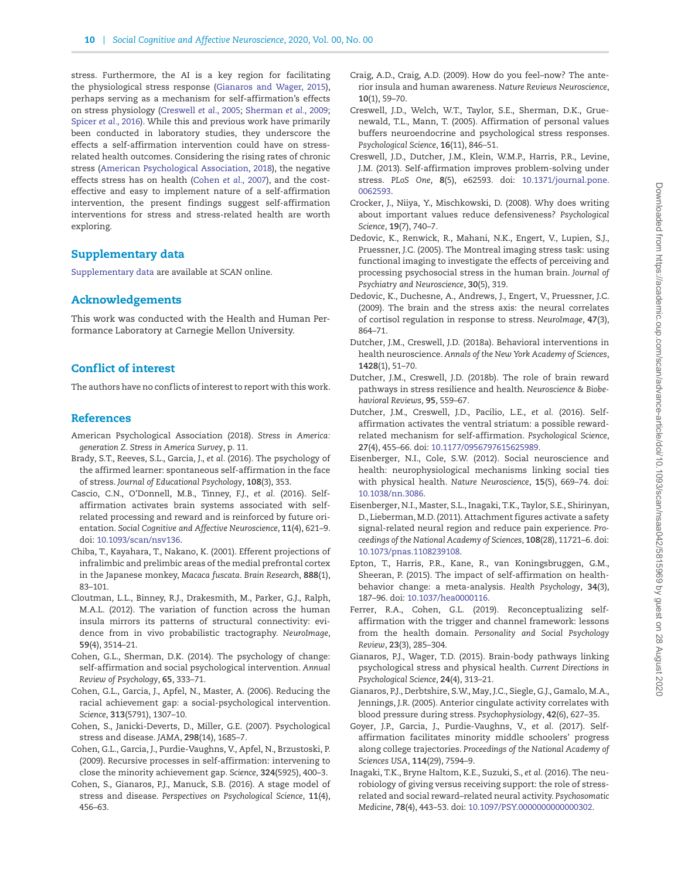stress. Furthermore, the AI is a key region for facilitating the physiological stress response [\(Gianaros and Wager, 2015\)](#page-10-14), perhaps serving as a mechanism for self-affirmation's effects on stress physiology [\(Creswell](#page-10-1) *et al.*, 2005; [Sherman](#page-11-1) *et al.*, 2009; [Spicer](#page-11-0) *et al.*, 2016). While this and previous work have primarily been conducted in laboratory studies, they underscore the effects a self-affirmation intervention could have on stressrelated health outcomes. Considering the rising rates of chronic stress [\(American Psychological Association, 2018\)](#page-10-25), the negative effects stress has on health [\(Cohen](#page-10-26) *et al.*, 2007), and the costeffective and easy to implement nature of a self-affirmation intervention, the present findings suggest self-affirmation interventions for stress and stress-related health are worth exploring.

# **Supplementary data**

[Supplementary data](https://academic.oup.com/scan/article-lookup/doi/10.1093/scan/nsaa042#supplementary-data) are available at *SCAN* online.

# **Acknowledgements**

This work was conducted with the Health and Human Performance Laboratory at Carnegie Mellon University.

# **Conf lict of interest**

The authors have no conflicts of interest to report with this work.

# **References**

- <span id="page-10-25"></span>American Psychological Association (2018). *Stress in America: generation Z. Stress in America Survey*, p. 11.
- <span id="page-10-5"></span>Brady, S.T., Reeves, S.L., Garcia, J., *et al.* (2016). The psychology of the affirmed learner: spontaneous self-affirmation in the face of stress. *Journal of Educational Psychology*, **108**(3), 353.
- <span id="page-10-10"></span>Cascio, C.N., O'Donnell, M.B., Tinney, F.J., *et al.* (2016). Selfaffirmation activates brain systems associated with selfrelated processing and reward and is reinforced by future orientation. *Social Cognitive and Affective Neuroscience*, **11**(4), 621–9. doi: [10.1093/scan/nsv136.](https://doi.org/10.1093/scan/nsv136)
- <span id="page-10-16"></span>Chiba, T., Kayahara, T., Nakano, K. (2001). Efferent projections of infralimbic and prelimbic areas of the medial prefrontal cortex in the Japanese monkey, *Macaca fuscata*. *Brain Research*, **888**(1), 83–101.
- <span id="page-10-17"></span>Cloutman, L.L., Binney, R.J., Drakesmith, M., Parker, G.J., Ralph, M.A.L. (2012). The variation of function across the human insula mirrors its patterns of structural connectivity: evidence from in vivo probabilistic tractography. *NeuroImage*, **59**(4), 3514–21.
- <span id="page-10-0"></span>Cohen, G.L., Sherman, D.K. (2014). The psychology of change: self-affirmation and social psychological intervention. *Annual Review of Psychology*, **65**, 333–71.
- <span id="page-10-3"></span>Cohen, G.L., Garcia, J., Apfel, N., Master, A. (2006). Reducing the racial achievement gap: a social-psychological intervention. *Science*, **313**(5791), 1307–10.
- <span id="page-10-26"></span>Cohen, S., Janicki-Deverts, D., Miller, G.E. (2007). Psychological stress and disease. *JAMA*, **298**(14), 1685–7.
- <span id="page-10-4"></span>Cohen, G.L., Garcia, J., Purdie-Vaughns, V., Apfel, N., Brzustoski, P. (2009). Recursive processes in self-affirmation: intervening to close the minority achievement gap. *Science*, **324**(5925), 400–3.
- <span id="page-10-15"></span>Cohen, S., Gianaros, P.J., Manuck, S.B. (2016). A stage model of stress and disease. *Perspectives on Psychological Science*, **11**(4), 456–63.
- <span id="page-10-23"></span>Craig, A.D., Craig, A.D. (2009). How do you feel–now? The anterior insula and human awareness. *Nature Reviews Neuroscience*, **10**(1), 59–70.
- <span id="page-10-1"></span>Creswell, J.D., Welch, W.T., Taylor, S.E., Sherman, D.K., Gruenewald, T.L., Mann, T. (2005). Affirmation of personal values buffers neuroendocrine and psychological stress responses. *Psychological Science*, **16**(11), 846–51.
- <span id="page-10-2"></span>Creswell, J.D., Dutcher, J.M., Klein, W.M.P., Harris, P.R., Levine, J.M. (2013). Self-affirmation improves problem-solving under stress. *PLoS One*, **8**(5), e62593. doi: [10.1371/journal.pone.](https://doi.org/10.1371/journal.pone.&break;0062593) 0062593.
- <span id="page-10-9"></span>Crocker, J., Niiya, Y., Mischkowski, D. (2008). Why does writing about important values reduce defensiveness? *Psychological Science*, **19**(7), 740–7.
- <span id="page-10-19"></span>Dedovic, K., Renwick, R., Mahani, N.K., Engert, V., Lupien, S.J., Pruessner, J.C. (2005). The Montreal imaging stress task: using functional imaging to investigate the effects of perceiving and processing psychosocial stress in the human brain. *Journal of Psychiatry and Neuroscience*, **30**(5), 319.
- <span id="page-10-21"></span>Dedovic, K., Duchesne, A., Andrews, J., Engert, V., Pruessner, J.C. (2009). The brain and the stress axis: the neural correlates of cortisol regulation in response to stress. *NeuroImage*, **47**(3), 864–71.
- <span id="page-10-24"></span>Dutcher, J.M., Creswell, J.D. (2018a). Behavioral interventions in health neuroscience. *Annals of the New York Academy of Sciences*, **1428**(1), 51–70.
- <span id="page-10-12"></span>Dutcher, J.M., Creswell, J.D. (2018b). The role of brain reward pathways in stress resilience and health. *Neuroscience & Biobehavioral Reviews*, **95**, 559–67.
- <span id="page-10-11"></span>Dutcher, J.M., Creswell, J.D., Pacilio, L.E., *et al.* (2016). Selfaffirmation activates the ventral striatum: a possible rewardrelated mechanism for self-affirmation. *Psychological Science*, **27**(4), 455–66. doi: [10.1177/0956797615625989.](https://doi.org/10.1177/0956797615625989)
- <span id="page-10-13"></span>Eisenberger, N.I., Cole, S.W. (2012). Social neuroscience and health: neurophysiological mechanisms linking social ties with physical health. *Nature Neuroscience*, **15**(5), 669–74. doi: [10.1038/nn.3086.](https://doi.org/10.1038/nn.3086)
- <span id="page-10-18"></span>Eisenberger, N.I., Master, S.L., Inagaki, T.K., Taylor, S.E., Shirinyan, D., Lieberman, M.D. (2011). Attachment figures activate a safety signal-related neural region and reduce pain experience. *Proceedings of the National Academy of Sciences*, **108**(28), 11721–6. doi: [10.1073/pnas.1108239108.](https://doi.org/10.1073/pnas.1108239108)
- <span id="page-10-7"></span>Epton, T., Harris, P.R., Kane, R., van Koningsbruggen, G.M., Sheeran, P. (2015). The impact of self-affirmation on healthbehavior change: a meta-analysis. *Health Psychology*, **34**(3), 187–96. doi: [10.1037/hea0000116.](https://doi.org/10.1037/hea0000116)
- <span id="page-10-8"></span>Ferrer, R.A., Cohen, G.L. (2019). Reconceptualizing selfaffirmation with the trigger and channel framework: lessons from the health domain. *Personality and Social Psychology Review*, **23**(3), 285–304.
- <span id="page-10-14"></span>Gianaros, P.J., Wager, T.D. (2015). Brain-body pathways linking psychological stress and physical health. *Current Directions in Psychological Science*, **24**(4), 313–21.
- <span id="page-10-22"></span>Gianaros, P.J., Derbtshire, S.W., May, J.C., Siegle, G.J., Gamalo, M.A., Jennings, J.R. (2005). Anterior cingulate activity correlates with blood pressure during stress. *Psychophysiology*, **42**(6), 627–35.
- <span id="page-10-6"></span>Goyer, J.P., Garcia, J., Purdie-Vaughns, V., *et al.* (2017). Selfaffirmation facilitates minority middle schoolers' progress along college trajectories. *Proceedings of the National Academy of Sciences USA*, **114**(29), 7594–9.
- <span id="page-10-20"></span>Inagaki, T.K., Bryne Haltom, K.E., Suzuki, S., *et al.* (2016). The neurobiology of giving versus receiving support: the role of stressrelated and social reward–related neural activity. *Psychosomatic Medicine*, **78**(4), 443–53. doi: [10.1097/PSY.0000000000000302.](https://doi.org/10.1097/PSY.0000000000000302)